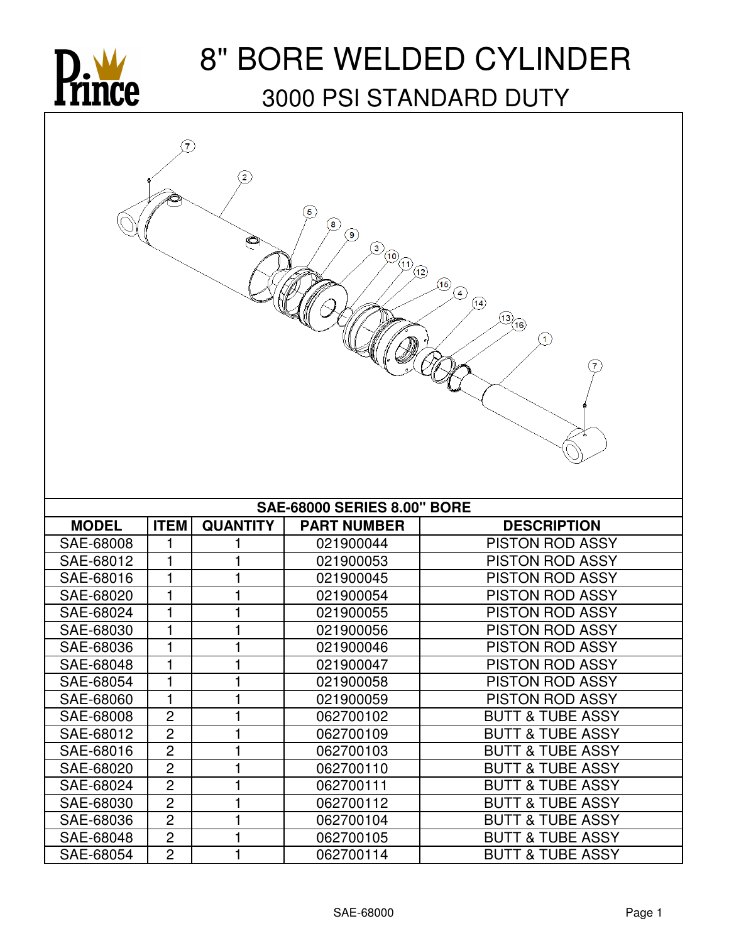

## 8" BORE WELDED CYLINDER 3000 PSI STANDARD DUTY

| $\overline{7}$<br>$\mathbf{2}$<br>5<br>$\circledast$<br>$\circledcirc$<br>Ò<br>$\circledS$<br>$\sqrt{10}$ (1) (12)<br>$\circledast$<br>$\bigcircled{\!\!\!1}$<br>$\circled{4}$<br>$\frac{13}{16}$<br>$\textcircled{\scriptsize{1}}$ |                |                              |                    |                             |  |  |  |
|-------------------------------------------------------------------------------------------------------------------------------------------------------------------------------------------------------------------------------------|----------------|------------------------------|--------------------|-----------------------------|--|--|--|
| <b>SAE-68000 SERIES 8.00" BORE</b>                                                                                                                                                                                                  |                |                              |                    |                             |  |  |  |
| <b>MODEL</b>                                                                                                                                                                                                                        | <b>ITEM</b>    | <b>QUANTITY</b>              | <b>PART NUMBER</b> | <b>DESCRIPTION</b>          |  |  |  |
| SAE-68008                                                                                                                                                                                                                           | 1              |                              | 021900044          | <b>PISTON ROD ASSY</b>      |  |  |  |
| SAE-68012                                                                                                                                                                                                                           | 1              |                              | 021900053          | <b>PISTON ROD ASSY</b>      |  |  |  |
| SAE-68016                                                                                                                                                                                                                           | 1              |                              | 021900045          | <b>PISTON ROD ASSY</b>      |  |  |  |
| SAE-68020                                                                                                                                                                                                                           | 1              | 1                            | 021900054          | PISTON ROD ASSY             |  |  |  |
| SAE-68024                                                                                                                                                                                                                           | 1              |                              | 021900055          | <b>PISTON ROD ASSY</b>      |  |  |  |
| SAE-68030                                                                                                                                                                                                                           | 1              | 1                            | 021900056          | <b>PISTON ROD ASSY</b>      |  |  |  |
| SAE-68036                                                                                                                                                                                                                           | 1              | 1<br>$\overline{\mathbf{1}}$ | 021900046          | <b>PISTON ROD ASSY</b>      |  |  |  |
| SAE-68048                                                                                                                                                                                                                           | $\mathbf{1}$   |                              | 021900047          | PISTON ROD ASSY             |  |  |  |
| SAE-68054                                                                                                                                                                                                                           | 1              |                              | 021900058          | <b>PISTON ROD ASSY</b>      |  |  |  |
| SAE-68060                                                                                                                                                                                                                           | 1              | 1                            | 021900059          | <b>PISTON ROD ASSY</b>      |  |  |  |
| SAE-68008                                                                                                                                                                                                                           | $\overline{c}$ | 1                            | 062700102          | <b>BUTT &amp; TUBE ASSY</b> |  |  |  |
| SAE-68012                                                                                                                                                                                                                           | $\overline{c}$ | 1                            | 062700109          | <b>BUTT &amp; TUBE ASSY</b> |  |  |  |
| SAE-68016                                                                                                                                                                                                                           | $\mathbf{2}$   |                              | 062700103          | <b>BUTT &amp; TUBE ASSY</b> |  |  |  |
| SAE-68020                                                                                                                                                                                                                           | $\overline{c}$ |                              | 062700110          | <b>BUTT &amp; TUBE ASSY</b> |  |  |  |
| SAE-68024                                                                                                                                                                                                                           | $\overline{2}$ | 1                            | 062700111          | <b>BUTT &amp; TUBE ASSY</b> |  |  |  |
| SAE-68030                                                                                                                                                                                                                           | $\overline{c}$ |                              | 062700112          | <b>BUTT &amp; TUBE ASSY</b> |  |  |  |
| SAE-68036                                                                                                                                                                                                                           | $\overline{c}$ | 1                            | 062700104          | <b>BUTT &amp; TUBE ASSY</b> |  |  |  |
| SAE-68048                                                                                                                                                                                                                           | $\overline{2}$ | 1                            | 062700105          | <b>BUTT &amp; TUBE ASSY</b> |  |  |  |
| SAE-68054                                                                                                                                                                                                                           | $\overline{2}$ | 1                            | 062700114          | <b>BUTT &amp; TUBE ASSY</b> |  |  |  |